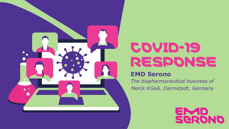

# COVID-19 RESPONSE

### **EMD Serono**

*The biopharmaceutical business of Merck KGaA, Darmstadt, Germany*

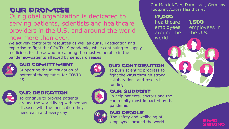# OUR PROMISE

### Our global organization is dedicated to serving patients, scientists and healthcare providers in the U.S. and around the world – now more than ever.

We actively contribute resources as well as our full dedication and expertise to fight the COVID-19 pandemic, while continuing to supply medicines for those who are among the most vulnerable in the pandemic—patients affected by serious diseases.



### OUR COMITTMENT

Supporting the investigation of potential therapeutics for COVID-19



### OUR DEDICATION

To continue to provide patients around the world living with serious diseases with the medication they need each and every day



### OUR CONTRIBUTION

To push scientific progress to fight the virus through strong collaborations and research funding

### OUR SUPPORT

To help patients, doctors and the community most impacted by the pandemic

### OUR PEOPLE

The safety and wellbeing of employees around the world

Our Merck KGaA, Darmstadt, Germany Footprint Across Healthcare:

#### 17,000

healthcare employees around the world

1,500 employees in the U.S.

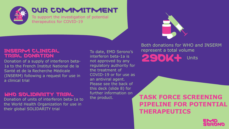

### OUR COMMITMENT

To support the investigation of potential therapeutics for COVID-19

#### INSERM CLINICAL TRIAL DONATION

Donation of a supply of interferon beta-1a to the French Institut National de la Santé et de la Recherche Médicale (INSERM) following a request for use in a clinical trial

#### WHO SOLIDARITY TRIAL

Donation of units of interferon beta-1a to the World Health Organization for use in their global SOLIDARITY trial

To date, EMD Serono's interferon beta-1a is not approved by any regulatory authority for the treatment of COVID-19 or for use as an antiviral agent. Please see the back of this deck (slide 8) for further information on the product.

Both donations for WHO and INSERM represent a total volume 290K+ Units

**TASK FORCE SCREENING PIPELINE FOR POTENTIAL THERAPEUTICS**

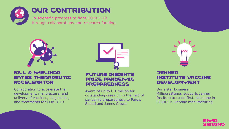

## OUR CONTRIBUTION

To scientific progress to fight COVID-19 through collaborations and research funding



#### BILL & MELINDA GATES THERAPEUTIC **ACCELERATOR**

Collaboration to accelerate the development, manufacture, and delivery of vaccines, diagnostics, and treatments for COVID-19



#### FUTURE INSIGHTS PRIZE PANDEMIC **PREPAREDNESS**

Award of up to  $\epsilon$  1 million for outstanding research in the field of pandemic preparedness to Pardis Sabeti and James Crowe

#### **JENNER** INSTITUTE VACCINE DEVELOPMENT

Our sister business, MilliporeSigma, supports Jenner Institute to reach first milestone in COVID-19 vaccine manufacturing

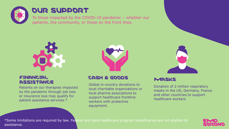

## OUR SUPPORT

To those impacted by the COVID-19 pandemic – whether our patients, the community, or those on the front lines.



#### FINANCIAL **ASSISTANCE**

Patients on our therapies impacted by the pandemic through job loss or insurance loss may qualify for patient assistance services.\*



#### CASH & GOODS

Global in-country donations to local charitable organizations or local pharma associations to support healthcare frontline workers with protective equipment.



Donation of 2 million respiratory masks in the US, Germany, France and other countries to support healthcare workers

\*Some limitations are required by law. Federal and state healthcare program beneficiaries are not eligible for assistance.

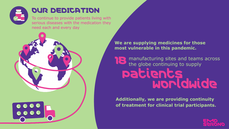

## OUR DEDICATION

To continue to provide patients living with serious diseases with the medication they need each and every day



**We are supplying medicines for those most vulnerable in this pandemic.**

18 Patients manufacturing sites and teams across the globe continuing to supply worldwide

**Additionally, we are providing continuity of treatment for clinical trial participants.**

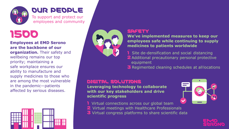

### OUR PEOPLE

To support and protect our employees and community

# 1500

#### **Employees at EMD Serono are the backbone of our**

**organization.** Their safety and wellbeing remains our top priority; maintaining a safe workplace ensures our ability to manufacture and supply medicines to those who are among the most vulnerable in the pandemic—patients affected by serious diseases.





#### **SAFETY**

**We've implemented measures to keep our employees safe while continuing to supply medicines to patients worldwide**

- **1** Site de-densification and social distancing
- 2 Additional precautionary personal protective equipment
- 3 Regimented cleaning schedules at all locations

#### DIGITAL SOLUTIONS

**Leveraging technology to collaborate with our key stakeholders and drive scientific progress**

- **1** Virtual connections across our global team
- 2 Virtual meetings with Healthcare Professionals
- 3 Virtual congress platforms to share scientific data

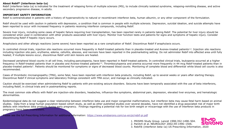#### **About Rebif® (interferon beta-1a)**

Rebif (interferon beta-1a) is indicated for the treatment of relapsing forms of multiple sclerosis (MS), to include clinically isolated syndrome, relapsing-remitting disease, and active secondary progressive disease, in adults.

#### **IMPORTANT SAFETY INFORMATION**

Rebif is contraindicated in patients with a history of hypersensitivity to natural or recombinant interferon beta, human albumin, or any other component of the formulation.

Rebif should be used with caution in patients with depression, a condition that is common in people with multiple sclerosis. Depression, suicidal ideation, and suicide attempts have been reported to occur with increased frequency in patients receiving interferon compounds, including Rebif.

Severe liver injury, including some cases of hepatic failure requiring liver transplantation, has been reported rarely in patients taking Rebif. The potential for liver injury should be considered when used in combination with other products associated with liver injury. Monitor liver function tests and patients for signs and symptoms of hepatic injury. Consider discontinuing Rebif if hepatic injury occurs.

Anaphylaxis and other allergic reactions (some severe) have been reported as a rare complication of Rebif. Discontinue Rebif if anaphylaxis occurs.

In controlled clinical trials, injection site reactions occurred more frequently in Rebif-treated patients than in placebo-treated and Avonex-treated patients<sup>1,2</sup>. Injection site reactions including injection site pain, erythema, edema, cellulitis, abscess, and necrosis have been reported in the postmarketing setting. Do not administer Rebif into affected area until fully healed; if multiple lesions occur, discontinue Rebif until skin lesions are healed.

Decreased peripheral blood counts in all cell lines, including pancytopenia, have been reported in Rebif-treated patients. In controlled clinical trials, leukopenia occurred at a higher frequency in Rebif-treated patients than in placebo and Avonex-treated patients<sup>1,2</sup>. Thrombocytopenia and anemia occurred more frequently in 44 mcg Rebif-treated patients than in placebo-treated patients<sup>1</sup>. Patients should be monitored for symptoms or signs of decreased blood counts. Monitoring of complete blood and differential white blood cell counts is also recommended.

Cases of thrombotic microangiopathy (TMA), some fatal, have been reported with interferon beta products, including Rebif, up to several weeks or years after starting therapy. Discontinue Rebif if clinical symptoms and laboratory findings consistent with TMA occur, and manage as clinically indicated.

Caution should be exercised when administering Rebif to patients with pre-existing seizure disorders. Seizures have been temporally associated with the use of beta interferons, including Rebif, in clinical trials and in postmarketing reports.

The most common side effects with Rebif are injection-site disorders, headaches, influenza-like symptoms, abdominal pain, depression, elevated liver enzymes, and hematologic abnormalities.

Epidemiological data do not suggest a clear relationship between interferon beta use and major congenital malformations, but interferon beta may cause fetal harm based on animal studies. Data from a large human population-based cohort study, as well as other published studies over several decades, have not identified a drug-associated risk of major birth defects with interferon beta products during early pregnancy. Findings regarding a potential risk for low birth weight or miscarriage with the use of interferon beta products in pregnancy have been inconsistent.

Please see the full Prescribing Information for additional information: <https://www.emdserono.com/us-en/pi/rebif-pi.pdf>



2. Panitch et al. NEUROLOGY 2002;59:1496–1506. 3. Rebif® (interferon beta-1a) US Prescribing Information, 2020

1. PRISMS Study Group. Lancet 1998;352:1498–504.